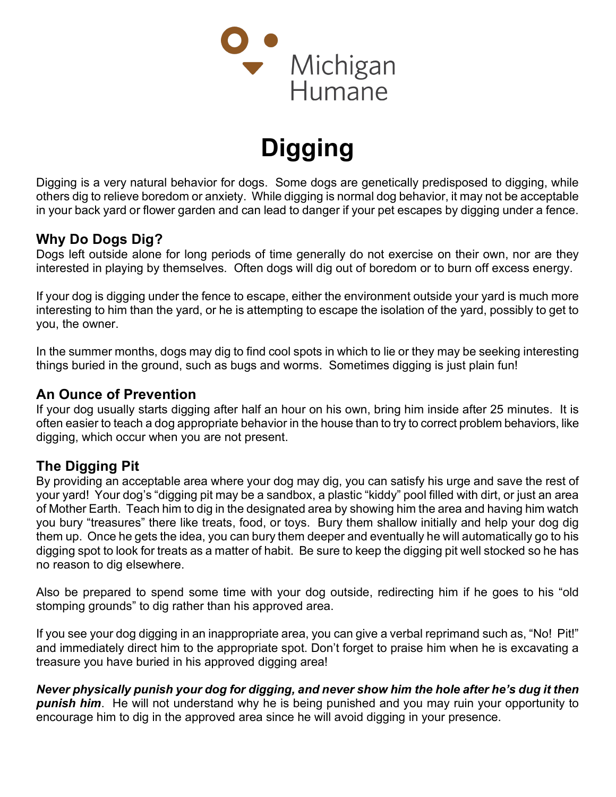

# Digging

Digging is a very natural behavior for dogs. Some dogs are genetically predisposed to digging, while others dig to relieve boredom or anxiety. While digging is normal dog behavior, it may not be acceptable in your back yard or flower garden and can lead to danger if your pet escapes by digging under a fence.

# Why Do Dogs Dig?

Dogs left outside alone for long periods of time generally do not exercise on their own, nor are they interested in playing by themselves. Often dogs will dig out of boredom or to burn off excess energy.

If your dog is digging under the fence to escape, either the environment outside your yard is much more interesting to him than the yard, or he is attempting to escape the isolation of the yard, possibly to get to you, the owner.

In the summer months, dogs may dig to find cool spots in which to lie or they may be seeking interesting things buried in the ground, such as bugs and worms. Sometimes digging is just plain fun!

### An Ounce of Prevention

If your dog usually starts digging after half an hour on his own, bring him inside after 25 minutes. It is often easier to teach a dog appropriate behavior in the house than to try to correct problem behaviors, like digging, which occur when you are not present.

### The Digging Pit

By providing an acceptable area where your dog may dig, you can satisfy his urge and save the rest of your yard! Your dog's "digging pit may be a sandbox, a plastic "kiddy" pool filled with dirt, or just an area of Mother Earth. Teach him to dig in the designated area by showing him the area and having him watch you bury "treasures" there like treats, food, or toys. Bury them shallow initially and help your dog dig them up. Once he gets the idea, you can bury them deeper and eventually he will automatically go to his digging spot to look for treats as a matter of habit. Be sure to keep the digging pit well stocked so he has no reason to dig elsewhere.

Also be prepared to spend some time with your dog outside, redirecting him if he goes to his "old stomping grounds" to dig rather than his approved area.

If you see your dog digging in an inappropriate area, you can give a verbal reprimand such as, "No! Pit!" and immediately direct him to the appropriate spot. Don't forget to praise him when he is excavating a treasure you have buried in his approved digging area!

#### Never physically punish your dog for digging, and never show him the hole after he's dug it then

**punish him.** He will not understand why he is being punished and you may ruin your opportunity to encourage him to dig in the approved area since he will avoid digging in your presence.